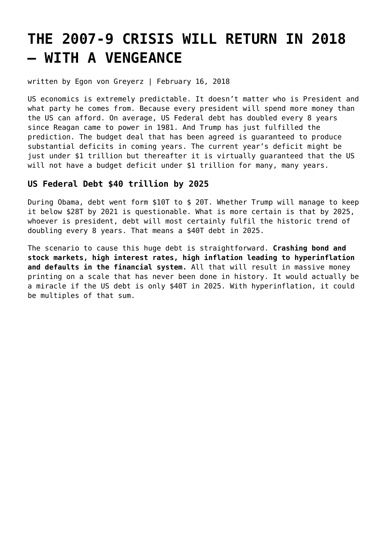# **[THE 2007-9 CRISIS WILL RETURN IN 2018](https://goldswitzerland.com/the-2007-9-crisis-will-return-in-2018-with-a-vengeance/) [– WITH A VENGEANCE](https://goldswitzerland.com/the-2007-9-crisis-will-return-in-2018-with-a-vengeance/)**

written by Egon von Greyerz | February 16, 2018

US economics is extremely predictable. It doesn't matter who is President and what party he comes from. Because every president will spend more money than the US can afford. On average, US Federal debt has doubled every 8 years since Reagan came to power in 1981. And Trump has just fulfilled the prediction. The budget deal that has been agreed is guaranteed to produce substantial deficits in coming years. The current year's deficit might be just under \$1 trillion but thereafter it is virtually guaranteed that the US will not have a budget deficit under \$1 trillion for many, many years.

## **US Federal Debt \$40 trillion by 2025**

During Obama, debt went form \$10T to \$ 20T. Whether Trump will manage to keep it below \$28T by 2021 is questionable. What is more certain is that by 2025, whoever is president, debt will most certainly fulfil the historic trend of doubling every 8 years. That means a \$40T debt in 2025.

The scenario to cause this huge debt is straightforward. **Crashing bond and stock markets, high interest rates, high inflation leading to hyperinflation and defaults in the financial system.** All that will result in massive money printing on a scale that has never been done in history. It would actually be a miracle if the US debt is only \$40T in 2025. With hyperinflation, it could be multiples of that sum.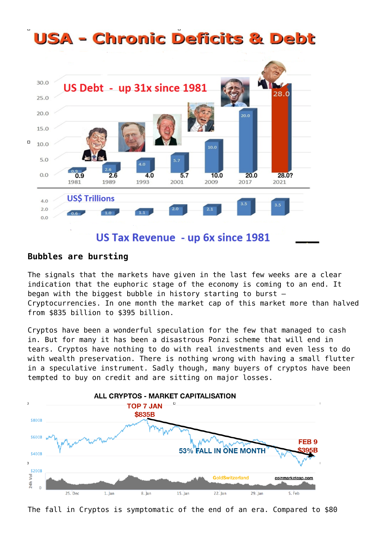#### **USA - Chronic Deficits & Debt** 30.0 US Debt - up 31x since 1981 28.0  $250$ 20.0 an n 15.0  $\Box$ 10.0 10.0 5.0  $0.9$  $0.0$  $2.6$  $4.0$  $5.7$  $10.0$  $20.0$ 28.0? 1981 1989 1993 2001 2009 2017 2021 **US\$ Trillions**  $4.0$  $2.0$  $2.0$  $2.1$  $6.6 0.0$ US Tax Revenue - up 6x since 1981

## **Bubbles are bursting**

The signals that the markets have given in the last few weeks are a clear indication that the euphoric stage of the economy is coming to an end. It began with the biggest bubble in history starting to burst – Cryptocurrencies. In one month the market cap of this market more than halved from \$835 billion to \$395 billion.

Cryptos have been a wonderful speculation for the few that managed to cash in. But for many it has been a disastrous Ponzi scheme that will end in tears. Cryptos have nothing to do with real investments and even less to do with wealth preservation. There is nothing wrong with having a small flutter in a speculative instrument. Sadly though, many buyers of cryptos have been tempted to buy on credit and are sitting on major losses.



The fall in Cryptos is symptomatic of the end of an era. Compared to \$80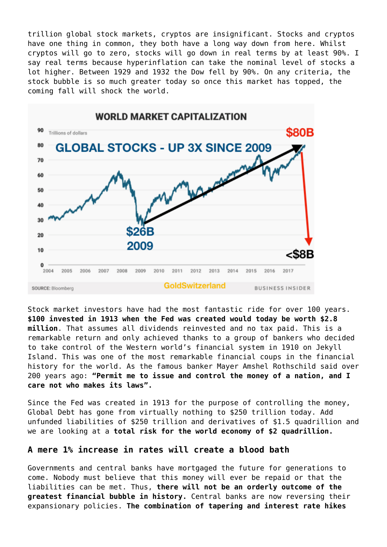trillion global stock markets, cryptos are insignificant. Stocks and cryptos have one thing in common, they both have a long way down from here. Whilst cryptos will go to zero, stocks will go down in real terms by at least 90%. I say real terms because hyperinflation can take the nominal level of stocks a lot higher. Between 1929 and 1932 the Dow fell by 90%. On any criteria, the stock bubble is so much greater today so once this market has topped, the coming fall will shock the world.



Stock market investors have had the most fantastic ride for over 100 years. **\$100 invested in 1913 when the Fed was created would today be worth \$2.8 million**. That assumes all dividends reinvested and no tax paid. This is a remarkable return and only achieved thanks to a group of bankers who decided to take control of the Western world's financial system in 1910 on Jekyll Island. This was one of the most remarkable financial coups in the financial history for the world. As the famous banker Mayer Amshel Rothschild said over 200 years ago: **"Permit me to issue and control the money of a nation, and I care not who makes its laws".**

Since the Fed was created in 1913 for the purpose of controlling the money, Global Debt has gone from virtually nothing to \$250 trillion today. Add unfunded liabilities of \$250 trillion and derivatives of \$1.5 quadrillion and we are looking at a **total risk for the world economy of \$2 quadrillion.**

## **A mere 1% increase in rates will create a blood bath**

Governments and central banks have mortgaged the future for generations to come. Nobody must believe that this money will ever be repaid or that the liabilities can be met. Thus, **there will not be an orderly outcome of the greatest financial bubble in history.** Central banks are now reversing their expansionary policies. **The combination of tapering and interest rate hikes**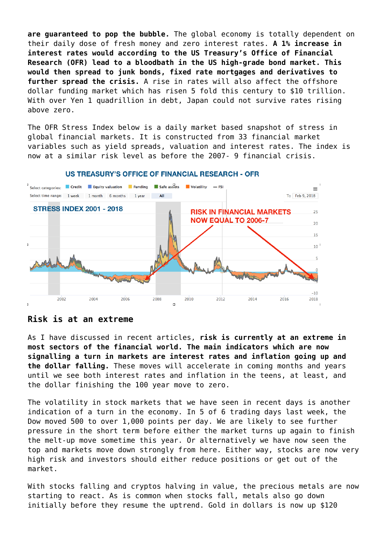**are guaranteed to pop the bubble.** The global economy is totally dependent on their daily dose of fresh money and zero interest rates. **A 1% increase in interest rates would according to the US Treasury's Office of Financial Research (OFR) lead to a bloodbath in the US high-grade bond market. This would then spread to junk bonds, fixed rate mortgages and derivatives to further spread the crisis.** A rise in rates will also affect the offshore dollar funding market which has risen 5 fold this century to \$10 trillion. With over Yen 1 quadrillion in debt, Japan could not survive rates rising above zero.

The OFR Stress Index below is a daily market based snapshot of stress in global financial markets. It is constructed from 33 financial market variables such as yield spreads, valuation and interest rates. The index is now at a similar risk level as before the 2007- 9 financial crisis.



#### **US TREASURY'S OFFICE OF FINANCIAL RESEARCH - OFR**

#### **Risk is at an extreme**

As I have discussed in recent articles, **risk is currently at an extreme in most sectors of the financial world. The main indicators which are now signalling a turn in markets are interest rates and inflation going up and the dollar falling.** These moves will accelerate in coming months and years until we see both interest rates and inflation in the teens, at least, and the dollar finishing the 100 year move to zero.

The volatility in stock markets that we have seen in recent days is another indication of a turn in the economy. In 5 of 6 trading days last week, the Dow moved 500 to over 1,000 points per day. We are likely to see further pressure in the short term before either the market turns up again to finish the melt-up move sometime this year. Or alternatively we have now seen the top and markets move down strongly from here. Either way, stocks are now very high risk and investors should either reduce positions or get out of the market.

With stocks falling and cryptos halving in value, the precious metals are now starting to react. As is common when stocks fall, metals also go down initially before they resume the uptrend. Gold in dollars is now up \$120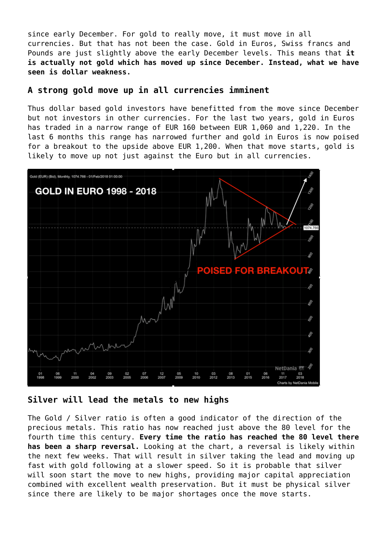since early December. For gold to really move, it must move in all currencies. But that has not been the case. Gold in Euros, Swiss francs and Pounds are just slightly above the early December levels. This means that **it is actually not gold which has moved up since December. Instead, what we have seen is dollar weakness.**

#### **A strong gold move up in all currencies imminent**

Thus dollar based gold investors have benefitted from the move since December but not investors in other currencies. For the last two years, gold in Euros has traded in a narrow range of EUR 160 between EUR 1,060 and 1,220. In the last 6 months this range has narrowed further and gold in Euros is now poised for a breakout to the upside above EUR 1,200. When that move starts, gold is likely to move up not just against the Euro but in all currencies.



**Silver will lead the metals to new highs**

The Gold / Silver ratio is often a good indicator of the direction of the precious metals. This ratio has now reached just above the 80 level for the fourth time this century. **Every time the ratio has reached the 80 level there has been a sharp reversal.** Looking at the chart, a reversal is likely within the next few weeks. That will result in silver taking the lead and moving up fast with gold following at a slower speed. So it is probable that silver will soon start the move to new highs, providing major capital appreciation combined with excellent wealth preservation. But it must be physical silver since there are likely to be major shortages once the move starts.